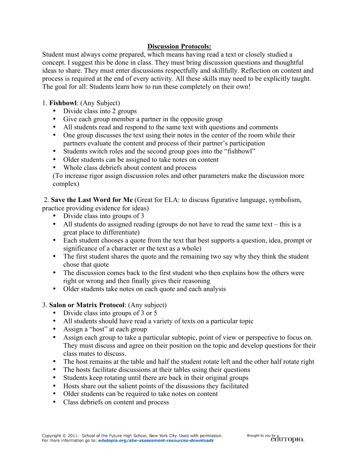## **Discussion Protocols:**

Student must always come prepared, which means having read a text or closely studied a concept. I suggest this be done in class. They must bring discussion questions and thoughtful ideas to share. They must enter discussions respectfully and skillfully. Reflection on content and process is required at the end of every activity. All these skills may need to be explicitly taught. The goal for all: Students learn how to run these completely on their own!

## 1. **Fishbowl**: (Any Subject)

- Divide class into 2 groups
- Give each group member a partner in the opposite group
- All students read and respond to the same text with questions and comments
- One group discusses the text using their notes in the center of the room while their partners evaluate the content and process of their partner's participation
- Students switch roles and the second group goes into the "fishbowl"
- Older students can be assigned to take notes on content
- Whole class debriefs about content and process

(To increase rigor assign discussion roles and other parameters make the discussion more complex)

 2. **Save the Last Word for Me** (Great for ELA: to discuss figurative language, symbolism, practice providing evidence for ideas)

- Divide class into groups of 3
- All students do assigned reading (groups do not have to read the same text this is a great place to differentiate)
- Each student chooses a quote from the text that best supports a question, idea, prompt or significance of a character or the text as a whole)
- The first student shares the quote and the remaining two say why they think the student chose that quote
- The discussion comes back to the first student who then explains how the others were right or wrong and then finally gives their reasoning
- Older students take notes on each quote and each analysis
- 3. **Salon or Matrix Protocol**: (Any subject)
	- Divide class into groups of 3 or 5
	- All students should have read a variety of texts on a particular topic
	- Assign a "host" at each group
	- Assign each group to take a particular subtopic, point of view or perspective to focus on. They must discuss and agree on their position on the topic and develop questions for their class mates to discuss.
	- The host remains at the table and half the student rotate left and the other half rotate right
	- The hosts facilitate discussions at their tables using their questions
	- Students keep rotating until there are back in their original groups
	- Hosts share out the salient points of the disussions they facilitated
	- Older students can be required to take notes on content
	- Class debriefs on content and process